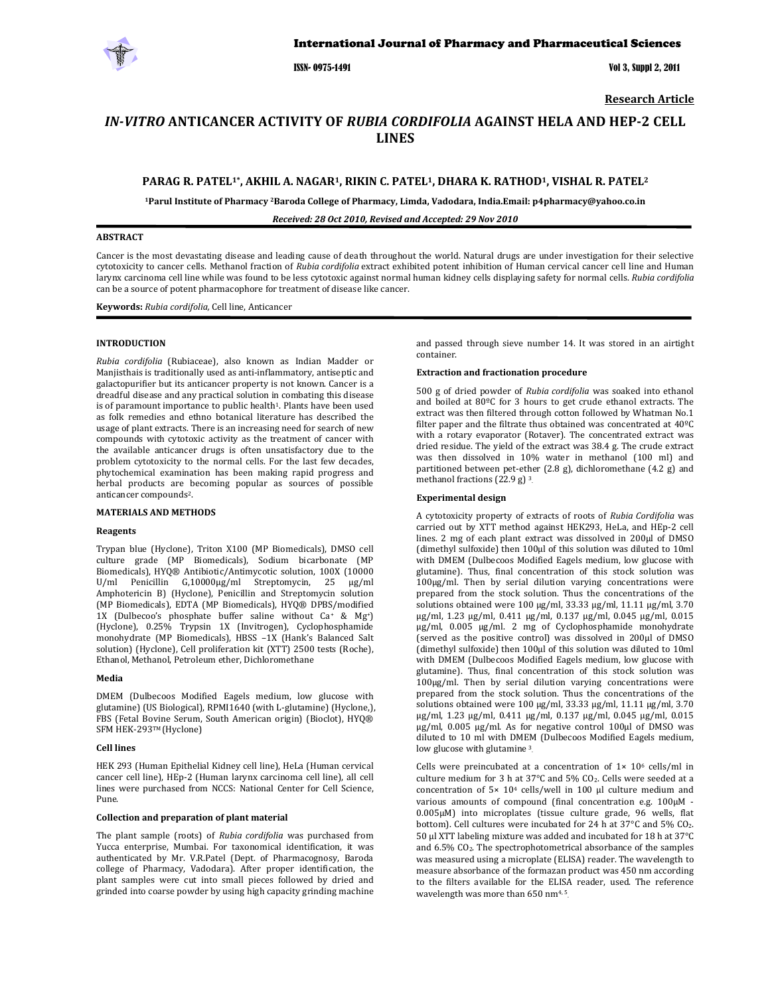

ISSN- 0975-1491 Vol 3, Suppl 2, 2011

**Research Article**

# *INVITRO* **ANTICANCER ACTIVITY OF** *RUBIA CORDIFOLIA* **AGAINST HELA AND HEP2 CELL LINES**

# **PARAG R. PATEL1\*, AKHIL A. NAGAR1, RIKIN C. PATEL1, DHARA K. RATHOD1, VISHAL R. PATEL2**

**1Parul Institute of Pharmacy 2Baroda College of Pharmacy, Limda, Vadodara, India.Email: p4pharmacy@yahoo.co.in**

*Received: 28 Oct 2010, Revised and Accepted: 29 Nov 2010*

# **ABSTRACT**

Cancer is the most devastating disease and leading cause of death throughout the world. Natural drugs are under investigation for their selective cytotoxicity to cancer cells. Methanol fraction of *Rubia cordifolia* extract exhibited potent inhibition of Human cervical cancer cell line and Human larynx carcinoma cell line while was found to be less cytotoxic against normal human kidney cells displaying safety for normal cells. *Rubia cordifolia* can be a source of potent pharmacophore for treatment of disease like cancer.

**Keywords:** *Rubia cordifolia,* Cell line, Anticancer

### **INTRODUCTION**

*Rubia cordifolia* (Rubiaceae), also known as Indian Madder or Manjisthais is traditionally used as anti‐inflammatory, antiseptic and galactopurifier but its anticancer property is not known. Cancer is a dreadful disease and any practical solution in combating this disease is of paramount importance to public health<sup>1</sup>. Plants have been used as folk remedies and ethno botanical literature has described the usage of plant extracts. There is an increasing need for search of new compounds with cytotoxic activity as the treatment of cancer with the available anticancer drugs is often unsatisfactory due to the problem cytotoxicity to the normal cells. For the last few decades, phytochemical examination has been making rapid progress and herbal products are becoming popular as sources of possible anticancer compounds2.

#### **MATERIALS AND METHODS**

#### **Reagents**

Trypan blue (Hyclone), Triton X100 (MP Biomedicals), DMSO cell culture grade (MP Biomedicals), Sodium bicarbonate (MP Biomedicals), HYQ® Antibiotic/Antimycotic solution, 100X (10000 U/ml Penicillin G,10000µg/ml Streptomycin, 25 µg/ml Amphotericin B) (Hyclone), Penicillin and Streptomycin solution (MP Biomedicals), EDTA (MP Biomedicals), HYQ® DPBS/modified 1X (Dulbecoo's phosphate buffer saline without Ca+ & Mg+) (Hyclone), 0.25% Trypsin 1X (Invitrogen), Cyclophosphamide monohydrate (MP Biomedicals), HBSS –1X (Hank's Balanced Salt solution) (Hyclone), Cell proliferation kit (XTT) 2500 tests (Roche), Ethanol, Methanol, Petroleum ether, Dichloromethane

#### **Media**

DMEM (Dulbecoos Modified Eagels medium, low glucose with glutamine) (US Biological), RPMI1640 (with L‐glutamine) (Hyclone,), FBS (Fetal Bovine Serum, South American origin) (Bioclot), HYQ® SFM HEK-293™ (Hyclone)

#### **Cell lines**

HEK 293 (Human Epithelial Kidney cell line), HeLa (Human cervical cancer cell line), HEp‐2 (Human larynx carcinoma cell line), all cell lines were purchased from NCCS: National Center for Cell Science, Pune.

#### **Collection and preparation of plant material**

The plant sample (roots) of *Rubia cordifolia* was purchased from Yucca enterprise, Mumbai. For taxonomical identification, it was authenticated by Mr. V.R.Patel (Dept. of Pharmacognosy, Baroda college of Pharmacy, Vadodara). After proper identification, the plant samples were cut into small pieces followed by dried and grinded into coarse powder by using high capacity grinding machine

and passed through sieve number 14. It was stored in an airtight container.

#### **Extraction and fractionation procedure**

500 g of dried powder of *Rubia cordifolia* was soaked into ethanol and boiled at 80ºC for 3 hours to get crude ethanol extracts. The extract was then filtered through cotton followed by Whatman No.1 filter paper and the filtrate thus obtained was concentrated at 40ºC with a rotary evaporator (Rotaver). The concentrated extract was dried residue. The yield of the extract was 38.4 g. The crude extract was then dissolved in 10% water in methanol (100 ml) and partitioned between pet-ether (2.8 g), dichloromethane (4.2 g) and methanol fractions (22.9 g) 3.

#### **Experimental design**

A cytotoxicity property of extracts of roots of *Rubia Cordifolia* was carried out by XTT method against HEK293, HeLa, and HEp‐2 cell lines. 2 mg of each plant extract was dissolved in 200µl of DMSO (dimethyl sulfoxide) then 100µl of this solution was diluted to 10ml with DMEM (Dulbecoos Modified Eagels medium, low glucose with glutamine). Thus, final concentration of this stock solution was 100µg/ml. Then by serial dilution varying concentrations were prepared from the stock solution. Thus the concentrations of the solutions obtained were 100 µg/ml, 33.33 µg/ml, 11.11 µg/ml, 3.70 µg/ml, 1.23 µg/ml, 0.411 µg/ml, 0.137 µg/ml, 0.045 µg/ml, 0.015 µg/ml, 0.005 µg/ml. 2 mg of Cyclophosphamide monohydrate (served as the positive control) was dissolved in 200µl of DMSO (dimethyl sulfoxide) then 100µl of this solution was diluted to 10ml with DMEM (Dulbecoos Modified Eagels medium, low glucose with glutamine). Thus, final concentration of this stock solution was 100µg/ml. Then by serial dilution varying concentrations were prepared from the stock solution. Thus the concentrations of the solutions obtained were 100 µg/ml, 33.33 µg/ml, 11.11 µg/ml, 3.70 µg/ml, 1.23 µg/ml, 0.411 µg/ml, 0.137 µg/ml, 0.045 µg/ml, 0.015 µg/ml, 0.005 µg/ml. As for negative control 100µl of DMSO was diluted to 10 ml with DMEM (Dulbecoos Modified Eagels medium, low glucose with glutamine<sup>3</sup>.

Cells were preincubated at a concentration of  $1 \times 10^6$  cells/ml in culture medium for 3 h at 37°C and 5% CO2. Cells were seeded at a concentration of  $5 \times 10^4$  cells/well in 100  $\mu$ l culture medium and various amounts of compound (final concentration e.g.  $100 \mu$ M -0.005µM) into microplates (tissue culture grade, 96 wells, flat bottom). Cell cultures were incubated for 24 h at 37°C and 5% CO2. 50 µl XTT labeling mixture was added and incubated for 18 h at 37°C and 6.5% CO2. The spectrophotometrical absorbance of the samples was measured using a microplate (ELISA) reader. The wavelength to measure absorbance of the formazan product was 450 nm according to the filters available for the ELISA reader, used. The reference wavelength was more than 650 nm<sup>4, 5</sup>.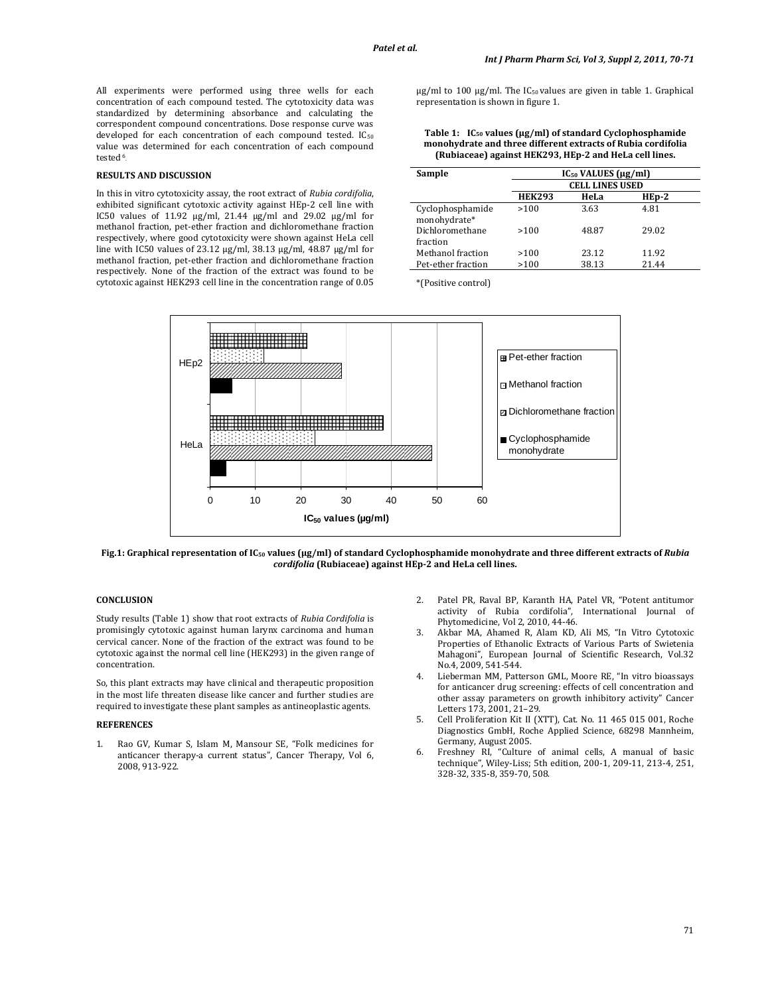All experiments were performed using three wells for each concentration of each compound tested. The cytotoxicity data was standardized by determining absorbance and calculating the correspondent compound concentrations. Dose response curve was developed for each concentration of each compound tested. IC<sub>50</sub> value was determined for each concentration of each compound tested 6.

### **RESULTS AND DISCUSSION**

In this in vitro cytotoxicity assay, the root extract of *Rubia cordifolia*, exhibited significant cytotoxic activity against HEp‐2 cell line with IC50 values of 11.92 μg/ml, 21.44 μg/ml and 29.02 μg/ml for methanol fraction, pet‐ether fraction and dichloromethane fraction respectively, where good cytotoxicity were shown against HeLa cell line with IC50 values of 23.12 μg/ml, 38.13 μg/ml, 48.87 μg/ml for methanol fraction, pet‐ether fraction and dichloromethane fraction respectively. None of the fraction of the extract was found to be cytotoxic against HEK293 cell line in the concentration range of 0.05

μg/ml to 100 μg/ml. The IC<sub>50</sub> values are given in table 1. Graphical representation is shown in figure 1.

**Table 1: IC50 values (µg/ml) of standard Cyclophosphamide monohydrate and three different extracts of Rubia cordifolia (Rubiaceae) against HEK293, HEp2 and HeLa cell lines.**

| Sample                           | $IC_{50}$ VALUES ( $\mu$ g/ml)<br><b>CELL LINES USED</b> |       |         |
|----------------------------------|----------------------------------------------------------|-------|---------|
|                                  |                                                          |       |         |
|                                  | <b>HEK293</b>                                            | HeLa  | $HEp-2$ |
| Cyclophosphamide<br>monohydrate* | >100                                                     | 3.63  | 4.81    |
| Dichloromethane<br>fraction      | >100                                                     | 48.87 | 29.02   |
| Methanol fraction                | >100                                                     | 23.12 | 11.92   |
| Pet-ether fraction               | >100                                                     | 38.13 | 21.44   |

\*(Positive control)



Fig.1: Graphical representation of IC<sub>50</sub> values (µg/ml) of standard Cyclophosphamide monohydrate and three different extracts of Rubia *cordifolia* **(Rubiaceae) against HEp2 and HeLa cell lines.**

## **CONCLUSION**

Study results (Table 1) show that root extracts of *Rubia Cordifolia* is promisingly cytotoxic against human larynx carcinoma and human cervical cancer. None of the fraction of the extract was found to be cytotoxic against the normal cell line (HEK293) in the given range of concentration.

So, this plant extracts may have clinical and therapeutic proposition in the most life threaten disease like cancer and further studies are required to investigate these plant samples as antineoplastic agents.

### **REFERENCES**

1. Rao GV, Kumar S, Islam M, Mansour SE, "Folk medicines for anticancer therapy‐a current status", Cancer Therapy, Vol 6, 2008, 913‐922.

- 2. Patel PR, Raval BP, Karanth HA, Patel VR, "Potent antitumor activity of Rubia cordifolia", International Journal of Phytomedicine, Vol 2, 2010, 44‐46.
- 3. Akbar MA, Ahamed R, Alam KD, Ali MS, "In Vitro Cytotoxic Properties of Ethanolic Extracts of Various Parts of Swietenia Mahagoni", European Journal of Scientific Research, Vol.32 No.4, 2009, 541‐544.
- 4. Lieberman MM, Patterson GML, Moore RE, "In vitro bioassays for anticancer drug screening: effects of cell concentration and other assay parameters on growth inhibitory activity" Cancer Letters 173, 2001, 21–29.
- 5. Cell Proliferation Kit II (XTT), Cat. No. 11 465 015 001, Roche Diagnostics GmbH, Roche Applied Science, 68298 Mannheim, Germany, August 2005.
- 6. Freshney RI, "Culture of animal cells, A manual of basic technique", Wiley‐Liss; 5th edition, 200‐1, 209‐11, 213‐4, 251, 328‐32, 335‐8, 359‐70, 508.